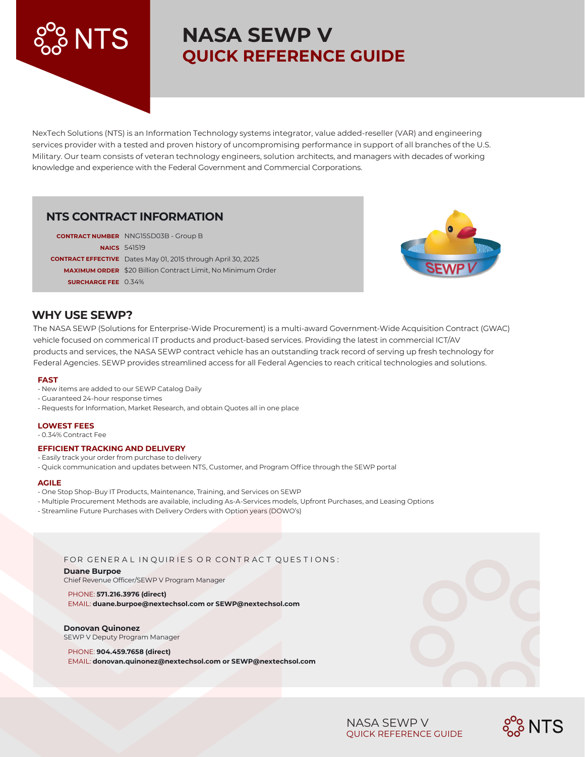# **NASA SEWP V QUICK REFERENCE GUIDE**

NexTech Solutions (NTS) is an Information Technology systems integrator, value added-reseller (VAR) and engineering services provider with a tested and proven history of uncompromising performance in support of all branches of the U.S. Military. Our team consists of veteran technology engineers, solution architects, and managers with decades of working knowledge and experience with the Federal Government and Commercial Corporations.

# **NTS CONTRACT INFORMATION**

|                            | <b>CONTRACT NUMBER</b> NNG15SD03B - Group B                         |
|----------------------------|---------------------------------------------------------------------|
|                            | <b>NAICS</b> 541519                                                 |
|                            | <b>CONTRACT EFFECTIVE</b> Dates May 01, 2015 through April 30, 2025 |
|                            | <b>MAXIMUM ORDER</b> \$20 Billion Contract Limit, No Minimum Order  |
| <b>SURCHARGE FEE</b> 0.34% |                                                                     |



## **WHY USE SEWP?**

The NASA SEWP (Solutions for Enterprise-Wide Procurement) is a multi-award Government-Wide Acquisition Contract (GWAC) vehicle focused on commerical IT products and product-based services. Providing the latest in commercial ICT/AV products and services, the NASA SEWP contract vehicle has an outstanding track record of serving up fresh technology for Federal Agencies. SEWP provides streamlined access for all Federal Agencies to reach critical technologies and solutions.

#### **FAST**

- New items are added to our SEWP Catalog Daily
- Guaranteed 24-hour response times
- Requests for Information, Market Research, and obtain Quotes all in one place

#### **LOWEST FEES**

- 0.34% Contract Fee

#### **EFFICIENT TRACKING AND DELIVERY**

- Easily track your order from purchase to delivery
- Quick communication and updates between NTS, Customer, and Program Office through the SEWP portal

#### **AGILE**

- One Stop Shop-Buy IT Products, Maintenance, Training, and Services on SEWP
- Multiple Procurement Methods are available, including As-A-Services models, Upfront Purchases, and Leasing Options
- Streamline Future Purchases with Delivery Orders with Option years (DOWO's)

#### FOR GENERAL IN QUIRIES OR CONTRACT QUESTIONS:

**Duane Burpoe** Chief Revenue Officer/SEWP V Program Manager

# PHONE: **571.216.3976 (direct)**

EMAIL: **duane.burpoe@nextechsol.com or SEWP@nextechsol.com**

#### **Donovan Quinonez** SEWP V Deputy Program Manager

#### PHONE: **904.459.7658 (direct)**

EMAIL: **donovan.quinonez@nextechsol.com or SEWP@nextechsol.com**